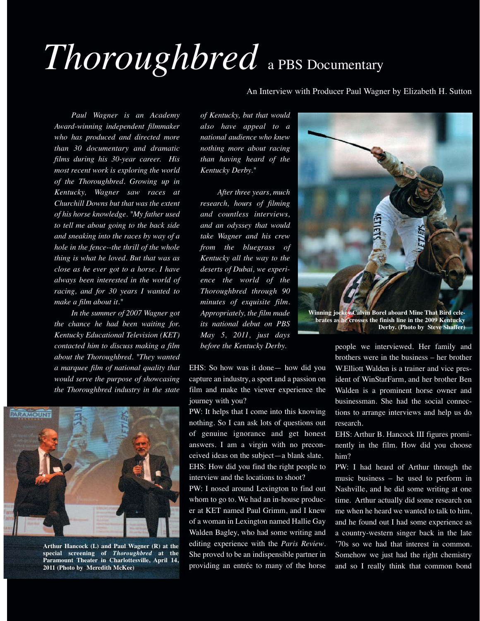## *Thoroughbred* a PBS Documentary

An Interview with Producer Paul Wagner by Elizabeth H. Sutton

*Paul Wagner is an Academy Award-winning independent filmmaker who has produced and directed more than 30 documentary and dramatic films during his 30-year career. His most recent work is exploring the world of the Thoroughbred. Growing up in Kentucky, Wagner saw races at Churchill Downs but that was the extent of his horse knowledge. "My father used to tell me about going to the back side and sneaking into the races by way of a hole in the fence--the thrill of the whole thing is what he loved. But that was as close as he ever got to a horse. I have always been interested in the world of racing, and for 30 years I wanted to make a film about it."*

*In the summer of 2007 Wagner got the chance he had been waiting for. Kentucky Educational Television (KET) contacted him to discuss making a film about the Thoroughbred. "They wanted a marquee film of national quality that would serve the purpose of showcasing the Thoroughbred industry in the state*



**Arthur Hancock (L) and Paul Wagner (R) at the special screening of** *Thoroughbred* **at the Paramount Theater in Charlottesville, April 14, 2011 (Photo by Meredith McKee)**

*of Kentucky, but that would also have appeal to a national audience who knew nothing more about racing than having heard of the Kentucky Derby."*

*After three years, much research, hours of filming and countless interviews, and an odyssey that would take Wagner and his crew from the bluegrass of Kentucky all the way to the deserts of Dubai, we experience the world of the Thoroughbred through 90 minutes of exquisite film. Appropriately, the film made its national debut on PBS May 5, 2011, just days before the Kentucky Derby.* 

EHS: So how was it done— how did you capture an industry, a sport and a passion on film and make the viewer experience the journey with you?

PW: It helps that I come into this knowing nothing. So I can ask lots of questions out of genuine ignorance and get honest answers. I am a virgin with no preconceived ideas on the subject—a blank slate. EHS: How did you find the right people to interview and the locations to shoot?

PW: I nosed around Lexington to find out whom to go to. We had an in-house producer at KET named Paul Grimm, and I knew of a woman in Lexington named Hallie Gay Walden Bagley, who had some writing and editing experience with the *Paris Review*. She proved to be an indispensible partner in providing an entrée to many of the horse



people we interviewed. Her family and brothers were in the business – her brother W.Elliott Walden is a trainer and vice president of WinStarFarm, and her brother Ben Walden is a prominent horse owner and businessman. She had the social connections to arrange interviews and help us do research.

EHS: Arthur B. Hancock III figures prominently in the film. How did you choose him?

PW: I had heard of Arthur through the music business – he used to perform in Nashville, and he did some writing at one time. Arthur actually did some research on me when he heard we wanted to talk to him, and he found out I had some experience as a country-western singer back in the late '70s so we had that interest in common. Somehow we just had the right chemistry and so I really think that common bond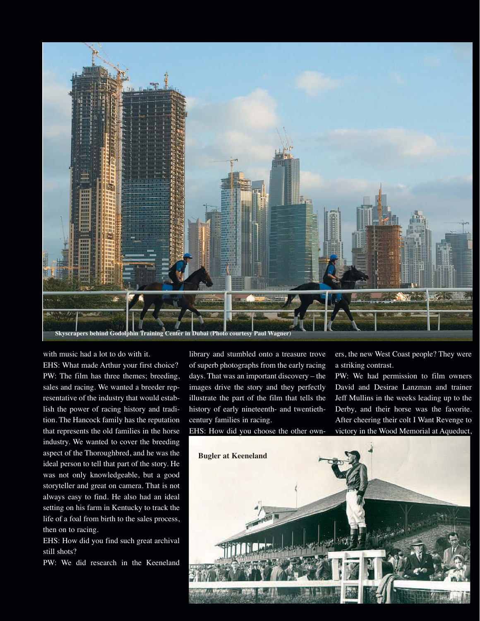

with music had a lot to do with it.

EHS: What made Arthur your first choice? PW: The film has three themes; breeding, sales and racing. We wanted a breeder representative of the industry that would establish the power of racing history and tradition. The Hancock family has the reputation that represents the old families in the horse industry. We wanted to cover the breeding aspect of the Thoroughbred, and he was the ideal person to tell that part of the story. He was not only knowledgeable, but a good storyteller and great on camera. That is not always easy to find. He also had an ideal setting on his farm in Kentucky to track the life of a foal from birth to the sales process, then on to racing.

EHS: How did you find such great archival still shots?

PW: We did research in the Keeneland

library and stumbled onto a treasure trove of superb photographs from the early racing days. That was an important discovery – the images drive the story and they perfectly illustrate the part of the film that tells the history of early nineteenth- and twentiethcentury families in racing.

EHS: How did you choose the other own-

ers, the new West Coast people? They were a striking contrast.

PW: We had permission to film owners David and Desirae Lanzman and trainer Jeff Mullins in the weeks leading up to the Derby, and their horse was the favorite. After cheering their colt I Want Revenge to victory in the Wood Memorial at Aqueduct,